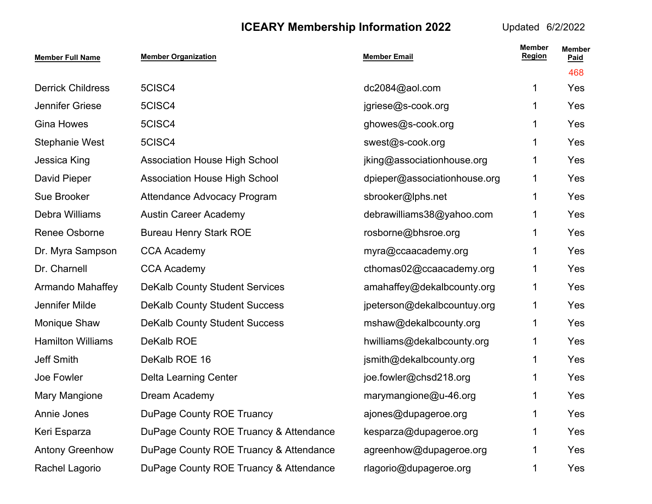| <b>Member Full Name</b>  | <b>Member Organization</b>             | <b>Member Email</b>          | <b>Member</b><br>Region | <b>Member</b><br>Paid |
|--------------------------|----------------------------------------|------------------------------|-------------------------|-----------------------|
|                          |                                        |                              |                         | 468                   |
| <b>Derrick Childress</b> | 5CISC4                                 | dc2084@aol.com               | 1                       | Yes                   |
| Jennifer Griese          | 5CISC4                                 | jgriese@s-cook.org           | 1                       | Yes                   |
| <b>Gina Howes</b>        | 5CISC4                                 | ghowes@s-cook.org            | 1                       | Yes                   |
| <b>Stephanie West</b>    | 5CISC4                                 | swest@s-cook.org             | 1                       | Yes                   |
| Jessica King             | <b>Association House High School</b>   | jking@associationhouse.org   | 1                       | Yes                   |
| David Pieper             | <b>Association House High School</b>   | dpieper@associationhouse.org | 1                       | Yes                   |
| Sue Brooker              | <b>Attendance Advocacy Program</b>     | sbrooker@lphs.net            | 1                       | Yes                   |
| Debra Williams           | <b>Austin Career Academy</b>           | debrawilliams38@yahoo.com    | 1                       | Yes                   |
| Renee Osborne            | <b>Bureau Henry Stark ROE</b>          | rosborne@bhsroe.org          | 1                       | Yes                   |
| Dr. Myra Sampson         | <b>CCA Academy</b>                     | myra@ccaacademy.org          | 1                       | Yes                   |
| Dr. Charnell             | <b>CCA Academy</b>                     | cthomas02@ccaacademy.org     | 1                       | Yes                   |
| Armando Mahaffey         | <b>DeKalb County Student Services</b>  | amahaffey@dekalbcounty.org   | 1                       | Yes                   |
| Jennifer Milde           | <b>DeKalb County Student Success</b>   | jpeterson@dekalbcountuy.org  | 1                       | Yes                   |
| Monique Shaw             | <b>DeKalb County Student Success</b>   | mshaw@dekalbcounty.org       | 1                       | Yes                   |
| <b>Hamilton Williams</b> | DeKalb ROE                             | hwilliams@dekalbcounty.org   | 1                       | Yes                   |
| Jeff Smith               | DeKalb ROE 16                          | jsmith@dekalbcounty.org      | $\mathbf 1$             | Yes                   |
| Joe Fowler               | <b>Delta Learning Center</b>           | joe.fowler@chsd218.org       | 1                       | Yes                   |
| Mary Mangione            | Dream Academy                          | marymangione@u-46.org        | 1                       | Yes                   |
| Annie Jones              | DuPage County ROE Truancy              | ajones@dupageroe.org         | 1                       | Yes                   |
| Keri Esparza             | DuPage County ROE Truancy & Attendance | kesparza@dupageroe.org       | 1                       | Yes                   |
| <b>Antony Greenhow</b>   | DuPage County ROE Truancy & Attendance | agreenhow@dupageroe.org      | 1                       | Yes                   |
| Rachel Lagorio           | DuPage County ROE Truancy & Attendance | rlagorio@dupageroe.org       | 1                       | Yes                   |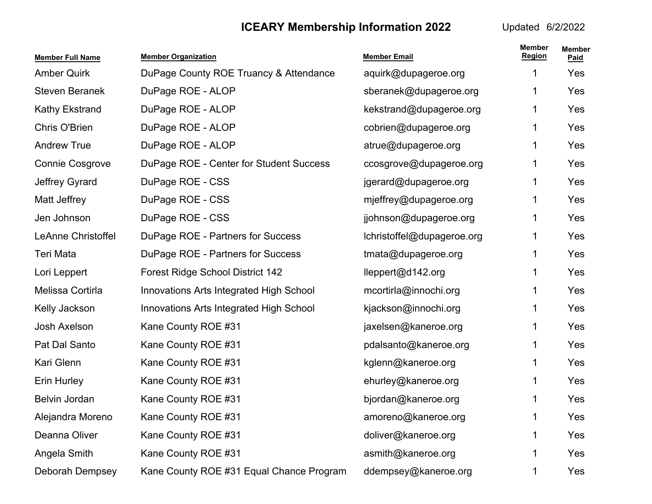| <b>Member Full Name</b> | <b>Member Organization</b>               | <b>Member Email</b>        | <b>Member</b><br><b>Region</b> | <b>Member</b><br>Paid |
|-------------------------|------------------------------------------|----------------------------|--------------------------------|-----------------------|
| <b>Amber Quirk</b>      | DuPage County ROE Truancy & Attendance   | aquirk@dupageroe.org       | 1                              | Yes                   |
| <b>Steven Beranek</b>   | DuPage ROE - ALOP                        | sberanek@dupageroe.org     | 1                              | Yes                   |
| <b>Kathy Ekstrand</b>   | DuPage ROE - ALOP                        | kekstrand@dupageroe.org    | 1                              | Yes                   |
| Chris O'Brien           | DuPage ROE - ALOP                        | cobrien@dupageroe.org      | 1                              | Yes                   |
| <b>Andrew True</b>      | DuPage ROE - ALOP                        | atrue@dupageroe.org        | 1                              | Yes                   |
| <b>Connie Cosgrove</b>  | DuPage ROE - Center for Student Success  | ccosgrove@dupageroe.org    | 1                              | Yes                   |
| Jeffrey Gyrard          | DuPage ROE - CSS                         | jgerard@dupageroe.org      | 1                              | Yes                   |
| Matt Jeffrey            | DuPage ROE - CSS                         | mjeffrey@dupageroe.org     | 1                              | Yes                   |
| Jen Johnson             | DuPage ROE - CSS                         | jjohnson@dupageroe.org     | 1                              | Yes                   |
| LeAnne Christoffel      | DuPage ROE - Partners for Success        | lchristoffel@dupageroe.org | 1                              | Yes                   |
| Teri Mata               | DuPage ROE - Partners for Success        | tmata@dupageroe.org        | 1                              | Yes                   |
| Lori Leppert            | <b>Forest Ridge School District 142</b>  | lleppert@d142.org          | 1                              | Yes                   |
| Melissa Cortirla        | Innovations Arts Integrated High School  | mcortirla@innochi.org      | 1                              | Yes                   |
| Kelly Jackson           | Innovations Arts Integrated High School  | kjackson@innochi.org       | 1                              | Yes                   |
| Josh Axelson            | Kane County ROE #31                      | jaxelsen@kaneroe.org       | 1                              | Yes                   |
| Pat Dal Santo           | Kane County ROE #31                      | pdalsanto@kaneroe.org      | 1                              | Yes                   |
| Kari Glenn              | Kane County ROE #31                      | kglenn@kaneroe.org         | 1                              | Yes                   |
| Erin Hurley             | Kane County ROE #31                      | ehurley@kaneroe.org        |                                | Yes                   |
| Belvin Jordan           | Kane County ROE #31                      | bjordan@kaneroe.org        |                                | Yes                   |
| Alejandra Moreno        | Kane County ROE #31                      | amoreno@kaneroe.org        | 1                              | Yes                   |
| Deanna Oliver           | Kane County ROE #31                      | doliver@kaneroe.org        | 1                              | Yes                   |
| Angela Smith            | Kane County ROE #31                      | asmith@kaneroe.org         | 1                              | Yes                   |
| Deborah Dempsey         | Kane County ROE #31 Equal Chance Program | ddempsey@kaneroe.org       | 1                              | Yes                   |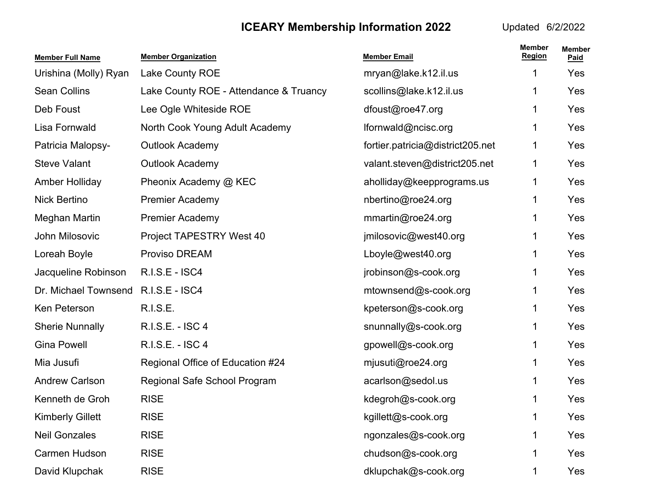| <b>Member Full Name</b> | <b>Member Organization</b>             | <b>Member Email</b>              | <b>Member</b><br>Region | <b>Member</b><br>Paid |
|-------------------------|----------------------------------------|----------------------------------|-------------------------|-----------------------|
| Urishina (Molly) Ryan   | Lake County ROE                        | mryan@lake.k12.il.us             | 1                       | Yes                   |
| <b>Sean Collins</b>     | Lake County ROE - Attendance & Truancy | scollins@lake.k12.il.us          | 1                       | Yes                   |
| Deb Foust               | Lee Ogle Whiteside ROE                 | dfoust@roe47.org                 | 1.                      | Yes                   |
| Lisa Fornwald           | North Cook Young Adult Academy         | lfornwald@ncisc.org              | 1.                      | Yes                   |
| Patricia Malopsy-       | <b>Outlook Academy</b>                 | fortier.patricia@district205.net | 1                       | Yes                   |
| <b>Steve Valant</b>     | <b>Outlook Academy</b>                 | valant.steven@district205.net    | 1                       | Yes                   |
| Amber Holliday          | Pheonix Academy @ KEC                  | aholliday@keepprograms.us        | 1                       | Yes                   |
| <b>Nick Bertino</b>     | <b>Premier Academy</b>                 | nbertino@roe24.org               | 1                       | Yes                   |
| Meghan Martin           | <b>Premier Academy</b>                 | mmartin@roe24.org                | 1.                      | Yes                   |
| John Milosovic          | Project TAPESTRY West 40               | jmilosovic@west40.org            | 1.                      | Yes                   |
| Loreah Boyle            | Proviso DREAM                          | Lboyle@west40.org                | 1                       | Yes                   |
| Jacqueline Robinson     | <b>R.I.S.E - ISC4</b>                  | jrobinson@s-cook.org             | 1                       | Yes                   |
| Dr. Michael Townsend    | R.I.S.E - ISC4                         | mtownsend@s-cook.org             | 1                       | Yes                   |
| Ken Peterson            | <b>R.I.S.E.</b>                        | kpeterson@s-cook.org             | 1                       | Yes                   |
| <b>Sherie Nunnally</b>  | R.I.S.E. - ISC 4                       | snunnally@s-cook.org             | 1.                      | Yes                   |
| <b>Gina Powell</b>      | R.I.S.E. - ISC 4                       | gpowell@s-cook.org               | 1.                      | Yes                   |
| Mia Jusufi              | Regional Office of Education #24       | mjusuti@roe24.org                | 1                       | Yes                   |
| <b>Andrew Carlson</b>   | Regional Safe School Program           | acarlson@sedol.us                | 1.                      | Yes                   |
| Kenneth de Groh         | <b>RISE</b>                            | kdegroh@s-cook.org               | 1                       | Yes                   |
| <b>Kimberly Gillett</b> | <b>RISE</b>                            | kgillett@s-cook.org              | 1                       | Yes                   |
| <b>Neil Gonzales</b>    | <b>RISE</b>                            | ngonzales@s-cook.org             | 1                       | Yes                   |
| Carmen Hudson           | <b>RISE</b>                            | chudson@s-cook.org               | 1                       | Yes                   |
| David Klupchak          | <b>RISE</b>                            | dklupchak@s-cook.org             | 1                       | Yes                   |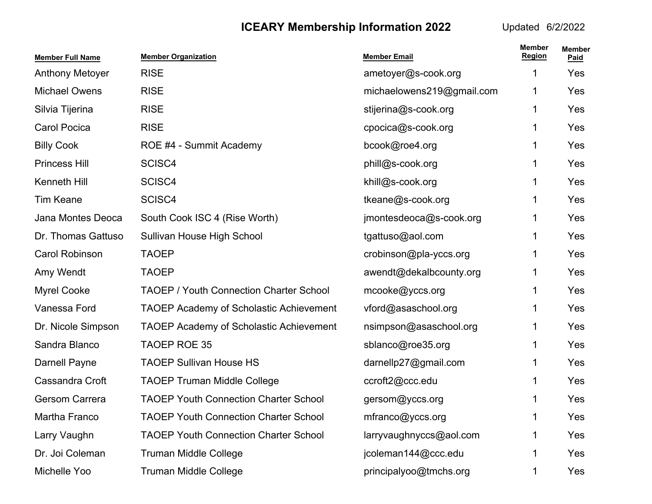| <b>Member Full Name</b> | <b>Member Organization</b>                     | <b>Member Email</b>       | <b>Member</b><br><b>Region</b> | <b>Member</b><br>Paid |
|-------------------------|------------------------------------------------|---------------------------|--------------------------------|-----------------------|
| <b>Anthony Metoyer</b>  | <b>RISE</b>                                    | ametoyer@s-cook.org       | 1                              | Yes                   |
| <b>Michael Owens</b>    | <b>RISE</b>                                    | michaelowens219@gmail.com | 1                              | Yes                   |
| Silvia Tijerina         | <b>RISE</b>                                    | stijerina@s-cook.org      | 1                              | Yes                   |
| <b>Carol Pocica</b>     | <b>RISE</b>                                    | cpocica@s-cook.org        | 1                              | Yes                   |
| <b>Billy Cook</b>       | ROE #4 - Summit Academy                        | bcook@roe4.org            | 1                              | Yes                   |
| <b>Princess Hill</b>    | SCISC4                                         | phill@s-cook.org          | 1                              | Yes                   |
| Kenneth Hill            | SCISC4                                         | khill@s-cook.org          | 1                              | Yes                   |
| <b>Tim Keane</b>        | SCISC4                                         | tkeane@s-cook.org         | 1.                             | Yes                   |
| Jana Montes Deoca       | South Cook ISC 4 (Rise Worth)                  | jmontesdeoca@s-cook.org   | 1                              | Yes                   |
| Dr. Thomas Gattuso      | Sullivan House High School                     | tgattuso@aol.com          | 1                              | Yes                   |
| Carol Robinson          | <b>TAOEP</b>                                   | crobinson@pla-yccs.org    | 1                              | Yes                   |
| Amy Wendt               | <b>TAOEP</b>                                   | awendt@dekalbcounty.org   | 1                              | Yes                   |
| <b>Myrel Cooke</b>      | <b>TAOEP / Youth Connection Charter School</b> | mcooke@yccs.org           | 1                              | Yes                   |
| Vanessa Ford            | <b>TAOEP Academy of Scholastic Achievement</b> | vford@asaschool.org       | 1                              | Yes                   |
| Dr. Nicole Simpson      | <b>TAOEP Academy of Scholastic Achievement</b> | nsimpson@asaschool.org    | 1                              | Yes                   |
| Sandra Blanco           | <b>TAOEP ROE 35</b>                            | sblanco@roe35.org         | 1                              | Yes                   |
| <b>Darnell Payne</b>    | <b>TAOEP Sullivan House HS</b>                 | darnellp27@gmail.com      | 1                              | Yes                   |
| Cassandra Croft         | <b>TAOEP Truman Middle College</b>             | ccroft2@ccc.edu           | 1                              | Yes                   |
| Gersom Carrera          | <b>TAOEP Youth Connection Charter School</b>   | gersom@yccs.org           |                                | <b>Yes</b>            |
| Martha Franco           | <b>TAOEP Youth Connection Charter School</b>   | mfranco@yccs.org          | 1                              | Yes                   |
| Larry Vaughn            | <b>TAOEP Youth Connection Charter School</b>   | larryvaughnyccs@aol.com   | 1                              | Yes                   |
| Dr. Joi Coleman         | <b>Truman Middle College</b>                   | jcoleman144@ccc.edu       | 1                              | Yes                   |
| Michelle Yoo            | <b>Truman Middle College</b>                   | principalyoo@tmchs.org    | 1                              | Yes                   |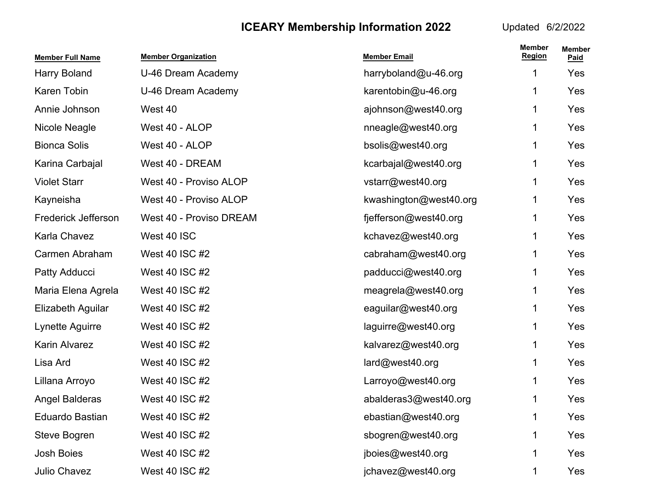| <b>Member Full Name</b> | <b>Member Organization</b> | <b>Member Email</b>    | <b>Member</b><br><b>Region</b> | <b>Member</b><br>Paid |
|-------------------------|----------------------------|------------------------|--------------------------------|-----------------------|
| Harry Boland            | U-46 Dream Academy         | harryboland@u-46.org   | 1                              | Yes                   |
| Karen Tobin             | U-46 Dream Academy         | karentobin@u-46.org    | 1                              | Yes                   |
| Annie Johnson           | West 40                    | ajohnson@west40.org    | 1                              | Yes                   |
| Nicole Neagle           | West 40 - ALOP             | nneagle@west40.org     | 1                              | Yes                   |
| <b>Bionca Solis</b>     | West 40 - ALOP             | bsolis@west40.org      | 1                              | Yes                   |
| Karina Carbajal         | West 40 - DREAM            | kcarbajal@west40.org   | 1                              | Yes                   |
| <b>Violet Starr</b>     | West 40 - Proviso ALOP     | vstarr@west40.org      | 1                              | Yes                   |
| Kayneisha               | West 40 - Proviso ALOP     | kwashington@west40.org | 1                              | Yes                   |
| Frederick Jefferson     | West 40 - Proviso DREAM    | fjefferson@west40.org  | 1                              | Yes                   |
| Karla Chavez            | West 40 ISC                | kchavez@west40.org     | 1                              | Yes                   |
| Carmen Abraham          | West 40 ISC #2             | cabraham@west40.org    | 1                              | Yes                   |
| Patty Adducci           | West 40 ISC #2             | padducci@west40.org    | 1                              | Yes                   |
| Maria Elena Agrela      | West 40 ISC #2             | meagrela@west40.org    | 1                              | Yes                   |
| Elizabeth Aguilar       | West 40 ISC #2             | eaguilar@west40.org    | 1                              | Yes                   |
| Lynette Aguirre         | West 40 ISC #2             | laguirre@west40.org    | 1                              | Yes                   |
| Karin Alvarez           | West 40 ISC #2             | kalvarez@west40.org    | 1                              | Yes                   |
| Lisa Ard                | West 40 ISC #2             | lard@west40.org        | 1                              | Yes                   |
| Lillana Arroyo          | West 40 ISC #2             | Larroyo@west40.org     | 1                              | Yes                   |
| <b>Angel Balderas</b>   | West 40 ISC #2             | abalderas3@west40.org  | 1                              | Yes                   |
| Eduardo Bastian         | West 40 ISC #2             | ebastian@west40.org    | 1                              | Yes                   |
| Steve Bogren            | West 40 ISC #2             | sbogren@west40.org     | 1                              | Yes                   |
| Josh Boies              | West 40 ISC #2             | jboies@west40.org      | 1                              | Yes                   |
| Julio Chavez            | West 40 ISC #2             | jchavez@west40.org     | 1                              | Yes                   |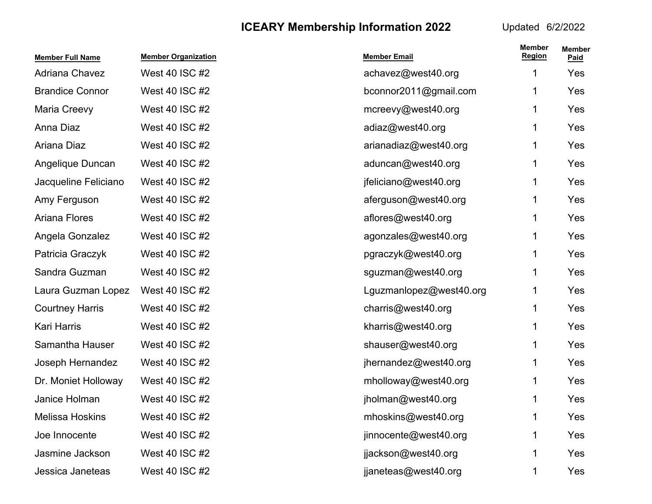| <b>Member Full Name</b> | <b>Member Organization</b> | <b>Member Email</b>     | <b>Member</b><br><b>Region</b> | <b>Member</b><br>Paid |
|-------------------------|----------------------------|-------------------------|--------------------------------|-----------------------|
| Adriana Chavez          | West 40 ISC #2             | achavez@west40.org      | 1                              | Yes                   |
| <b>Brandice Connor</b>  | West 40 ISC #2             | bconnor2011@gmail.com   | 1.                             | Yes                   |
| Maria Creevy            | West 40 ISC #2             | mcreevy@west40.org      | 1.                             | Yes                   |
| Anna Diaz               | West 40 ISC #2             | adiaz@west40.org        | 1.                             | Yes                   |
| Ariana Diaz             | West 40 ISC #2             | arianadiaz@west40.org   |                                | Yes                   |
| Angelique Duncan        | West 40 ISC #2             | aduncan@west40.org      | 1                              | Yes                   |
| Jacqueline Feliciano    | West 40 ISC #2             | jfeliciano@west40.org   | 1                              | Yes                   |
| Amy Ferguson            | West 40 ISC #2             | aferguson@west40.org    | 1                              | Yes                   |
| Ariana Flores           | West 40 ISC #2             | aflores@west40.org      | 1                              | Yes                   |
| Angela Gonzalez         | West 40 ISC #2             | agonzales@west40.org    | 1                              | Yes                   |
| Patricia Graczyk        | West 40 ISC #2             | pgraczyk@west40.org     |                                | Yes                   |
| Sandra Guzman           | West 40 ISC #2             | sguzman@west40.org      | 1                              | Yes                   |
| Laura Guzman Lopez      | West 40 ISC #2             | Lguzmanlopez@west40.org | 1.                             | Yes                   |
| <b>Courtney Harris</b>  | West 40 ISC #2             | charris@west40.org      | 1                              | Yes                   |
| <b>Kari Harris</b>      | West 40 ISC #2             | kharris@west40.org      | 1.                             | Yes                   |
| Samantha Hauser         | West 40 ISC #2             | shauser@west40.org      | 1.                             | Yes                   |
| Joseph Hernandez        | West 40 ISC #2             | jhernandez@west40.org   |                                | Yes                   |
| Dr. Moniet Holloway     | West 40 ISC #2             | mholloway@west40.org    |                                | Yes                   |
| Janice Holman           | West 40 ISC #2             | jholman@west40.org      |                                | Yes                   |
| <b>Melissa Hoskins</b>  | West 40 ISC #2             | mhoskins@west40.org     |                                | Yes                   |
| Joe Innocente           | West 40 ISC #2             | jinnocente@west40.org   |                                | Yes                   |
| Jasmine Jackson         | West 40 ISC #2             | jjackson@west40.org     |                                | Yes                   |
| Jessica Janeteas        | West 40 ISC #2             | jjaneteas@west40.org    |                                | Yes                   |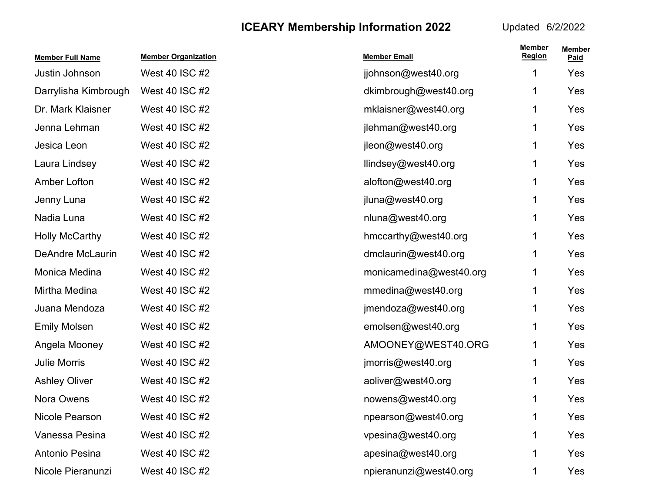| <b>Member Full Name</b> | <b>Member Organization</b> | <b>Member Email</b>     | <b>Member</b><br><b>Region</b> | <b>Member</b><br>Paid |
|-------------------------|----------------------------|-------------------------|--------------------------------|-----------------------|
| Justin Johnson          | West 40 ISC #2             | jjohnson@west40.org     | 1                              | Yes                   |
| Darrylisha Kimbrough    | West 40 ISC #2             | dkimbrough@west40.org   | 1                              | Yes                   |
| Dr. Mark Klaisner       | West 40 ISC #2             | mklaisner@west40.org    | 1.                             | Yes                   |
| Jenna Lehman            | West 40 ISC #2             | jlehman@west40.org      | 1                              | Yes                   |
| Jesica Leon             | West 40 ISC #2             | jleon@west40.org        | 1                              | Yes                   |
| Laura Lindsey           | West 40 ISC #2             | llindsey@west40.org     | 1                              | Yes                   |
| Amber Lofton            | West 40 ISC #2             | alofton@west40.org      | 1                              | Yes                   |
| Jenny Luna              | West 40 ISC #2             | jluna@west40.org        | 1                              | Yes                   |
| Nadia Luna              | West 40 ISC #2             | nluna@west40.org        | 1.                             | Yes                   |
| <b>Holly McCarthy</b>   | West 40 ISC #2             | hmccarthy@west40.org    | 1.                             | Yes                   |
| <b>DeAndre McLaurin</b> | West 40 ISC #2             | dmclaurin@west40.org    | 1                              | Yes                   |
| Monica Medina           | West 40 ISC #2             | monicamedina@west40.org | 1                              | Yes                   |
| Mirtha Medina           | West 40 ISC #2             | mmedina@west40.org      | 1                              | Yes                   |
| Juana Mendoza           | West 40 ISC #2             | jmendoza@west40.org     | 1                              | Yes                   |
| <b>Emily Molsen</b>     | West 40 ISC #2             | emolsen@west40.org      | 1.                             | Yes                   |
| Angela Mooney           | West 40 ISC #2             | AMOONEY@WEST40.ORG      | 1.                             | Yes                   |
| <b>Julie Morris</b>     | West 40 ISC #2             | jmorris@west40.org      | 1                              | Yes                   |
| <b>Ashley Oliver</b>    | West 40 ISC #2             | aoliver@west40.org      | 1                              | Yes                   |
| Nora Owens              | West 40 ISC #2             | nowens@west40.org       | 1                              | Yes                   |
| Nicole Pearson          | West 40 ISC #2             | npearson@west40.org     | 1                              | Yes                   |
| Vanessa Pesina          | West 40 ISC #2             | vpesina@west40.org      | 1                              | Yes                   |
| Antonio Pesina          | West 40 ISC #2             | apesina@west40.org      | 1                              | Yes                   |
| Nicole Pieranunzi       | West 40 ISC #2             | npieranunzi@west40.org  |                                | Yes                   |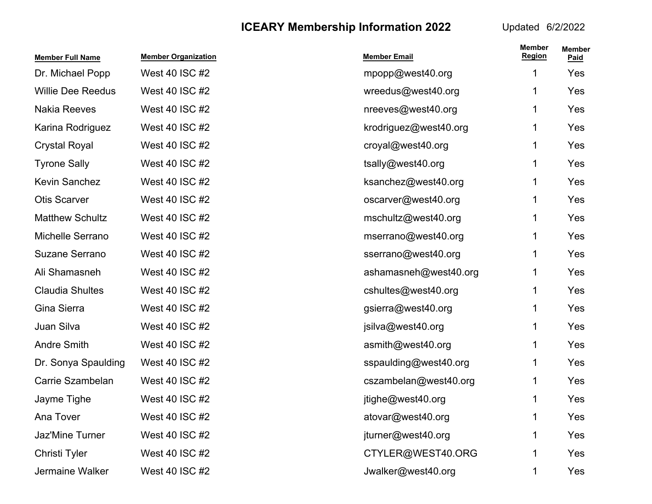| <b>Member Full Name</b>  | <b>Member Organization</b> | <b>Member Email</b>   | <b>Member</b><br><b>Region</b> | <b>Member</b><br>Paid |
|--------------------------|----------------------------|-----------------------|--------------------------------|-----------------------|
| Dr. Michael Popp         | West 40 ISC #2             | mpopp@west40.org      | 1                              | Yes                   |
| <b>Willie Dee Reedus</b> | West 40 ISC #2             | wreedus@west40.org    | 1                              | Yes                   |
| <b>Nakia Reeves</b>      | West 40 ISC #2             | nreeves@west40.org    | 1                              | Yes                   |
| Karina Rodriguez         | West 40 ISC #2             | krodriguez@west40.org | 1                              | Yes                   |
| <b>Crystal Royal</b>     | West 40 ISC #2             | croyal@west40.org     | 1                              | Yes                   |
| <b>Tyrone Sally</b>      | West 40 ISC #2             | tsally@west40.org     | 1                              | Yes                   |
| <b>Kevin Sanchez</b>     | West 40 ISC #2             | ksanchez@west40.org   | 1                              | Yes                   |
| <b>Otis Scarver</b>      | West 40 ISC #2             | oscarver@west40.org   | 1                              | Yes                   |
| <b>Matthew Schultz</b>   | West 40 ISC #2             | mschultz@west40.org   | 1                              | Yes                   |
| Michelle Serrano         | West 40 ISC #2             | mserrano@west40.org   | 1                              | Yes                   |
| <b>Suzane Serrano</b>    | West 40 ISC #2             | sserrano@west40.org   | 1                              | Yes                   |
| Ali Shamasneh            | West 40 ISC #2             | ashamasneh@west40.org | 1                              | Yes                   |
| <b>Claudia Shultes</b>   | West 40 ISC #2             | cshultes@west40.org   | 1                              | Yes                   |
| Gina Sierra              | West 40 ISC #2             | gsierra@west40.org    | 1                              | Yes                   |
| Juan Silva               | West 40 ISC #2             | jsilva@west40.org     | 1                              | Yes                   |
| <b>Andre Smith</b>       | West 40 ISC #2             | asmith@west40.org     | 1                              | Yes                   |
| Dr. Sonya Spaulding      | West 40 ISC #2             | sspaulding@west40.org | 1                              | Yes                   |
| Carrie Szambelan         | West 40 ISC #2             | cszambelan@west40.org | 1                              | Yes                   |
| Jayme Tighe              | West 40 ISC #2             | jtighe@west40.org     | 1                              | Yes                   |
| Ana Tover                | West 40 ISC #2             | atovar@west40.org     | 1                              | Yes                   |
| Jaz'Mine Turner          | West 40 ISC #2             | jturner@west40.org    | 1                              | Yes                   |
| Christi Tyler            | West 40 ISC #2             | CTYLER@WEST40.ORG     | 1                              | Yes                   |
| Jermaine Walker          | West 40 ISC #2             | Jwalker@west40.org    | 1                              | Yes                   |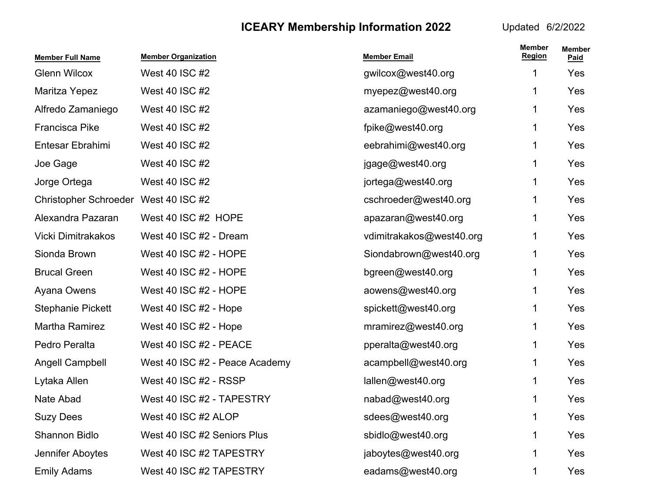| <b>Member Full Name</b>              | <b>Member Organization</b>     | <b>Member Email</b>      | <b>Member</b><br><b>Region</b> | <b>Member</b><br>Paid |
|--------------------------------------|--------------------------------|--------------------------|--------------------------------|-----------------------|
| <b>Glenn Wilcox</b>                  | West 40 ISC #2                 | gwilcox@west40.org       | 1                              | Yes                   |
| Maritza Yepez                        | West 40 ISC #2                 | myepez@west40.org        | 1                              | Yes                   |
| Alfredo Zamaniego                    | West 40 ISC #2                 | azamaniego@west40.org    | 1                              | Yes                   |
| <b>Francisca Pike</b>                | West 40 ISC #2                 | fpike@west40.org         | 1                              | Yes                   |
| Entesar Ebrahimi                     | West 40 ISC #2                 | eebrahimi@west40.org     | 1                              | Yes                   |
| Joe Gage                             | West 40 ISC #2                 | jgage@west40.org         | 1                              | Yes                   |
| Jorge Ortega                         | West 40 ISC #2                 | jortega@west40.org       | 1                              | Yes                   |
| Christopher Schroeder West 40 ISC #2 |                                | cschroeder@west40.org    | 1                              | Yes                   |
| Alexandra Pazaran                    | West 40 ISC #2 HOPE            | apazaran@west40.org      | 1                              | Yes                   |
| Vicki Dimitrakakos                   | West 40 ISC #2 - Dream         | vdimitrakakos@west40.org | 1.                             | Yes                   |
| Sionda Brown                         | West 40 ISC #2 - HOPE          | Siondabrown@west40.org   | 1                              | Yes                   |
| <b>Brucal Green</b>                  | West 40 ISC #2 - HOPE          | bgreen@west40.org        | 1                              | Yes                   |
| Ayana Owens                          | West 40 ISC #2 - HOPE          | aowens@west40.org        | 1                              | Yes                   |
| <b>Stephanie Pickett</b>             | West 40 ISC #2 - Hope          | spickett@west40.org      | 1                              | Yes                   |
| Martha Ramirez                       | West 40 ISC #2 - Hope          | mramirez@west40.org      | 1                              | Yes                   |
| Pedro Peralta                        | West 40 ISC #2 - PEACE         | pperalta@west40.org      | 1                              | Yes                   |
| <b>Angell Campbell</b>               | West 40 ISC #2 - Peace Academy | acampbell@west40.org     | 1                              | Yes                   |
| Lytaka Allen                         | West 40 ISC #2 - RSSP          | lallen@west40.org        | 1                              | Yes                   |
| Nate Abad                            | West 40 ISC #2 - TAPESTRY      | nabad@west40.org         |                                | Yes                   |
| <b>Suzy Dees</b>                     | West 40 ISC #2 ALOP            | sdees@west40.org         | 1                              | Yes                   |
| Shannon Bidlo                        | West 40 ISC #2 Seniors Plus    | sbidlo@west40.org        | 1                              | Yes                   |
| Jennifer Aboytes                     | West 40 ISC #2 TAPESTRY        | jaboytes@west40.org      |                                | Yes                   |
| <b>Emily Adams</b>                   | West 40 ISC #2 TAPESTRY        | eadams@west40.org        |                                | Yes                   |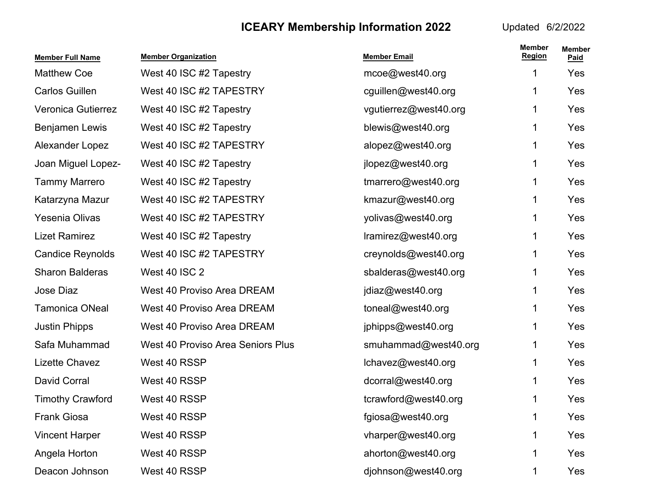| <b>Member Full Name</b> | <b>Member Organization</b>               | <b>Member Email</b>   | <b>Member</b><br><b>Region</b> | <b>Member</b><br>Paid |
|-------------------------|------------------------------------------|-----------------------|--------------------------------|-----------------------|
| <b>Matthew Coe</b>      | West 40 ISC #2 Tapestry                  | mcoe@west40.org       | 1                              | Yes                   |
| <b>Carlos Guillen</b>   | West 40 ISC #2 TAPESTRY                  | cguillen@west40.org   | 1                              | Yes                   |
| Veronica Gutierrez      | West 40 ISC #2 Tapestry                  | vgutierrez@west40.org | 1                              | Yes                   |
| Benjamen Lewis          | West 40 ISC #2 Tapestry                  | blewis@west40.org     | 1                              | Yes                   |
| Alexander Lopez         | West 40 ISC #2 TAPESTRY                  | alopez@west40.org     | 1                              | Yes                   |
| Joan Miguel Lopez-      | West 40 ISC #2 Tapestry                  | jlopez@west40.org     | 1                              | Yes                   |
| <b>Tammy Marrero</b>    | West 40 ISC #2 Tapestry                  | tmarrero@west40.org   | 1                              | Yes                   |
| Katarzyna Mazur         | West 40 ISC #2 TAPESTRY                  | kmazur@west40.org     | 1                              | Yes                   |
| <b>Yesenia Olivas</b>   | West 40 ISC #2 TAPESTRY                  | yolivas@west40.org    | 1                              | Yes                   |
| <b>Lizet Ramirez</b>    | West 40 ISC #2 Tapestry                  | Iramirez@west40.org   | 1                              | Yes                   |
| <b>Candice Reynolds</b> | West 40 ISC #2 TAPESTRY                  | creynolds@west40.org  | 1                              | Yes                   |
| <b>Sharon Balderas</b>  | <b>West 40 ISC 2</b>                     | sbalderas@west40.org  | 1                              | Yes                   |
| Jose Diaz               | <b>West 40 Proviso Area DREAM</b>        | jdiaz@west40.org      | 1                              | Yes                   |
| <b>Tamonica ONeal</b>   | <b>West 40 Proviso Area DREAM</b>        | toneal@west40.org     | 1                              | Yes                   |
| <b>Justin Phipps</b>    | West 40 Proviso Area DREAM               | jphipps@west40.org    | 1                              | Yes                   |
| Safa Muhammad           | <b>West 40 Proviso Area Seniors Plus</b> | smuhammad@west40.org  | 1                              | Yes                   |
| Lizette Chavez          | West 40 RSSP                             | lchavez@west40.org    | 1                              | Yes                   |
| David Corral            | West 40 RSSP                             | dcorral@west40.org    | 1                              | Yes                   |
| <b>Timothy Crawford</b> | West 40 RSSP                             | tcrawford@west40.org  | 1                              | Yes                   |
| <b>Frank Giosa</b>      | West 40 RSSP                             | fgiosa@west40.org     | 1                              | Yes                   |
| <b>Vincent Harper</b>   | West 40 RSSP                             | vharper@west40.org    | 1                              | Yes                   |
| Angela Horton           | West 40 RSSP                             | ahorton@west40.org    | 1                              | Yes                   |
| Deacon Johnson          | West 40 RSSP                             | djohnson@west40.org   | 1                              | Yes                   |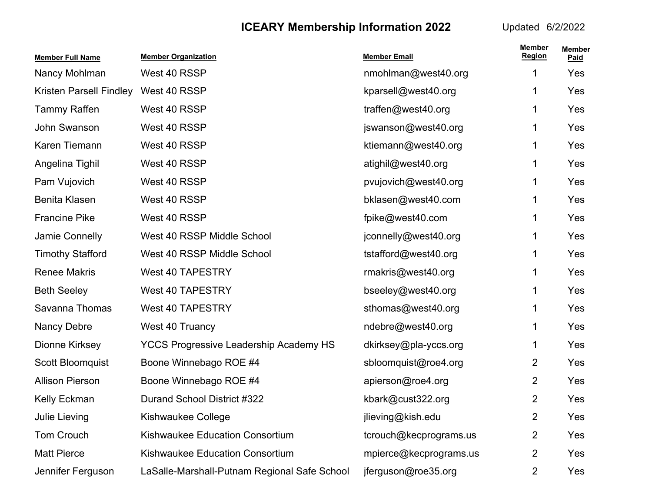| <b>Member Full Name</b> | <b>Member Organization</b>                    | <b>Member Email</b>    | <b>Member</b><br><b>Region</b> | <b>Member</b><br>Paid |
|-------------------------|-----------------------------------------------|------------------------|--------------------------------|-----------------------|
| Nancy Mohlman           | West 40 RSSP                                  | nmohlman@west40.org    | 1                              | Yes                   |
| Kristen Parsell Findley | West 40 RSSP                                  | kparsell@west40.org    | 1                              | Yes                   |
| <b>Tammy Raffen</b>     | West 40 RSSP                                  | traffen@west40.org     | 1                              | Yes                   |
| John Swanson            | West 40 RSSP                                  | jswanson@west40.org    | 1.                             | Yes                   |
| Karen Tiemann           | West 40 RSSP                                  | ktiemann@west40.org    | 1                              | Yes                   |
| Angelina Tighil         | West 40 RSSP                                  | atighil@west40.org     | 1                              | Yes                   |
| Pam Vujovich            | West 40 RSSP                                  | pvujovich@west40.org   | 1                              | Yes                   |
| <b>Benita Klasen</b>    | West 40 RSSP                                  | bklasen@west40.com     | 1                              | Yes                   |
| <b>Francine Pike</b>    | West 40 RSSP                                  | fpike@west40.com       | 1                              | Yes                   |
| Jamie Connelly          | West 40 RSSP Middle School                    | jconnelly@west40.org   | 1                              | Yes                   |
| <b>Timothy Stafford</b> | West 40 RSSP Middle School                    | tstafford@west40.org   | 1                              | Yes                   |
| <b>Renee Makris</b>     | <b>West 40 TAPESTRY</b>                       | rmakris@west40.org     | 1                              | Yes                   |
| <b>Beth Seeley</b>      | <b>West 40 TAPESTRY</b>                       | bseeley@west40.org     | 1                              | Yes                   |
| Savanna Thomas          | <b>West 40 TAPESTRY</b>                       | sthomas@west40.org     | 1                              | Yes                   |
| Nancy Debre             | West 40 Truancy                               | ndebre@west40.org      | 1                              | Yes                   |
| Dionne Kirksey          | <b>YCCS Progressive Leadership Academy HS</b> | dkirksey@pla-yccs.org  | 1                              | Yes                   |
| Scott Bloomquist        | Boone Winnebago ROE #4                        | sbloomquist@roe4.org   | 2                              | Yes                   |
| <b>Allison Pierson</b>  | Boone Winnebago ROE #4                        | apierson@roe4.org      | $\overline{2}$                 | Yes                   |
| Kelly Eckman            | Durand School District #322                   | kbark@cust322.org      | 2                              | Yes                   |
| <b>Julie Lieving</b>    | Kishwaukee College                            | jlieving@kish.edu      | $\overline{2}$                 | Yes                   |
| Tom Crouch              | Kishwaukee Education Consortium               | tcrouch@kecprograms.us | 2                              | Yes                   |
| <b>Matt Pierce</b>      | Kishwaukee Education Consortium               | mpierce@kecprograms.us | 2                              | Yes                   |
| Jennifer Ferguson       | LaSalle-Marshall-Putnam Regional Safe School  | jferguson@roe35.org    | 2                              | Yes                   |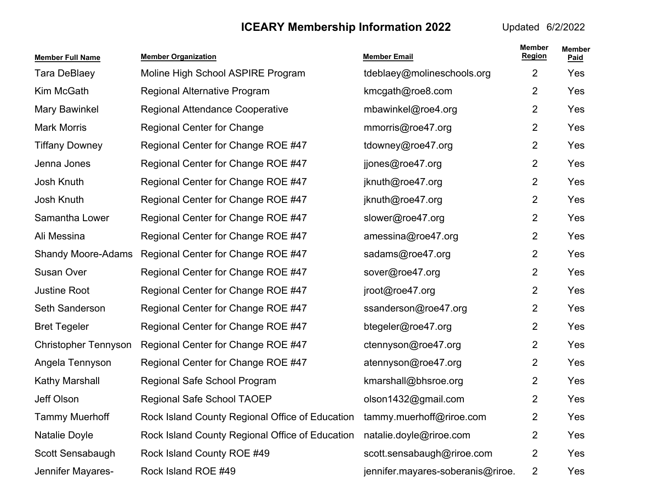| <b>Member Full Name</b>     | <b>Member Organization</b>                      | <b>Member Email</b>               | <b>Member</b><br><b>Region</b> | <b>Member</b><br>Paid |
|-----------------------------|-------------------------------------------------|-----------------------------------|--------------------------------|-----------------------|
| <b>Tara DeBlaey</b>         | Moline High School ASPIRE Program               | tdeblaey@molineschools.org        | 2                              | Yes                   |
| Kim McGath                  | <b>Regional Alternative Program</b>             | kmcgath@roe8.com                  | 2                              | Yes                   |
| <b>Mary Bawinkel</b>        | Regional Attendance Cooperative                 | mbawinkel@roe4.org                | $\overline{2}$                 | Yes                   |
| <b>Mark Morris</b>          | <b>Regional Center for Change</b>               | mmorris@roe47.org                 | 2                              | Yes                   |
| <b>Tiffany Downey</b>       | Regional Center for Change ROE #47              | tdowney@roe47.org                 | 2                              | Yes                   |
| Jenna Jones                 | Regional Center for Change ROE #47              | jjones@roe47.org                  | $\overline{2}$                 | Yes                   |
| Josh Knuth                  | Regional Center for Change ROE #47              | jknuth@roe47.org                  | 2                              | Yes                   |
| Josh Knuth                  | Regional Center for Change ROE #47              | jknuth@roe47.org                  | 2                              | Yes                   |
| Samantha Lower              | Regional Center for Change ROE #47              | slower@roe47.org                  | $\overline{2}$                 | Yes                   |
| Ali Messina                 | Regional Center for Change ROE #47              | amessina@roe47.org                | 2                              | Yes                   |
| <b>Shandy Moore-Adams</b>   | Regional Center for Change ROE #47              | sadams@roe47.org                  | 2                              | Yes                   |
| Susan Over                  | Regional Center for Change ROE #47              | sover@roe47.org                   | $\overline{2}$                 | Yes                   |
| <b>Justine Root</b>         | Regional Center for Change ROE #47              | jroot@roe47.org                   | 2                              | Yes                   |
| Seth Sanderson              | Regional Center for Change ROE #47              | ssanderson@roe47.org              | 2                              | Yes                   |
| <b>Bret Tegeler</b>         | Regional Center for Change ROE #47              | btegeler@roe47.org                | $\overline{2}$                 | Yes                   |
| <b>Christopher Tennyson</b> | Regional Center for Change ROE #47              | ctennyson@roe47.org               | 2                              | Yes                   |
| Angela Tennyson             | Regional Center for Change ROE #47              | atennyson@roe47.org               | 2                              | Yes                   |
| Kathy Marshall              | Regional Safe School Program                    | kmarshall@bhsroe.org              | $\overline{2}$                 | Yes                   |
| Jeff Olson                  | Regional Safe School TAOEP                      | olson1432@gmail.com               | $\overline{2}$                 | Yes                   |
| <b>Tammy Muerhoff</b>       | Rock Island County Regional Office of Education | tammy.muerhoff@riroe.com          | $\overline{2}$                 | Yes                   |
| Natalie Doyle               | Rock Island County Regional Office of Education | natalie.doyle@riroe.com           | $\overline{2}$                 | Yes                   |
| Scott Sensabaugh            | Rock Island County ROE #49                      | scott.sensabaugh@riroe.com        | $\overline{2}$                 | Yes                   |
| Jennifer Mayares-           | Rock Island ROE #49                             | jennifer.mayares-soberanis@riroe. | 2                              | Yes                   |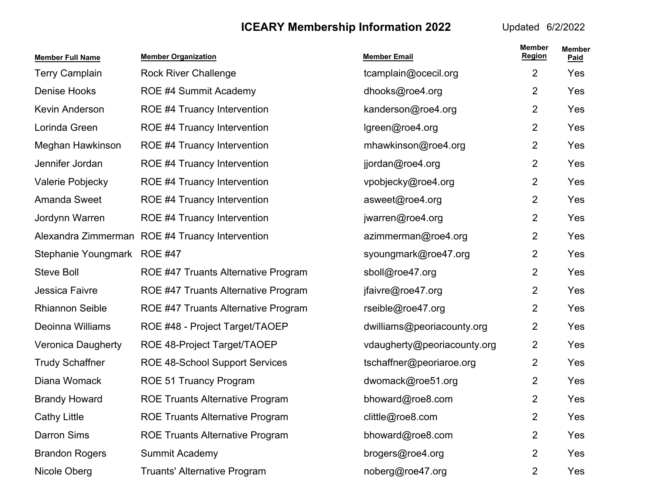| <b>Member Full Name</b>   | <b>Member Organization</b>                      | <b>Member Email</b>         | <b>Member</b><br><b>Region</b> | <b>Member</b><br>Paid |
|---------------------------|-------------------------------------------------|-----------------------------|--------------------------------|-----------------------|
| <b>Terry Camplain</b>     | <b>Rock River Challenge</b>                     | tcamplain@ocecil.org        | $\overline{2}$                 | Yes                   |
| <b>Denise Hooks</b>       | ROE #4 Summit Academy                           | dhooks@roe4.org             | 2                              | Yes                   |
| Kevin Anderson            | ROE #4 Truancy Intervention                     | kanderson@roe4.org          | 2                              | Yes                   |
| Lorinda Green             | ROE #4 Truancy Intervention                     | lgreen@roe4.org             | $\overline{2}$                 | Yes                   |
| Meghan Hawkinson          | ROE #4 Truancy Intervention                     | mhawkinson@roe4.org         | $\overline{2}$                 | Yes                   |
| Jennifer Jordan           | ROE #4 Truancy Intervention                     | jjordan@roe4.org            | $\overline{2}$                 | Yes                   |
| Valerie Pobjecky          | ROE #4 Truancy Intervention                     | vpobjecky@roe4.org          | 2                              | Yes                   |
| Amanda Sweet              | ROE #4 Truancy Intervention                     | asweet@roe4.org             | $\overline{2}$                 | Yes                   |
| Jordynn Warren            | ROE #4 Truancy Intervention                     | jwarren@roe4.org            | $\overline{2}$                 | Yes                   |
|                           | Alexandra Zimmerman ROE #4 Truancy Intervention | azimmerman@roe4.org         | $\overline{2}$                 | Yes                   |
| Stephanie Youngmark       | <b>ROE #47</b>                                  | syoungmark@roe47.org        | 2                              | Yes                   |
| <b>Steve Boll</b>         | ROE #47 Truants Alternative Program             | sboll@roe47.org             | $\overline{2}$                 | Yes                   |
| Jessica Faivre            | ROE #47 Truants Alternative Program             | jfaivre@roe47.org           | $\overline{2}$                 | Yes                   |
| <b>Rhiannon Seible</b>    | ROE #47 Truants Alternative Program             | rseible@roe47.org           | $\overline{2}$                 | Yes                   |
| Deoinna Williams          | ROE #48 - Project Target/TAOEP                  | dwilliams@peoriacounty.org  | 2                              | Yes                   |
| <b>Veronica Daugherty</b> | ROE 48-Project Target/TAOEP                     | vdaugherty@peoriacounty.org | $\overline{2}$                 | Yes                   |
| <b>Trudy Schaffner</b>    | <b>ROE 48-School Support Services</b>           | tschaffner@peoriaroe.org    | $\overline{2}$                 | Yes                   |
| Diana Womack              | <b>ROE 51 Truancy Program</b>                   | dwomack@roe51.org           | $\overline{2}$                 | Yes                   |
| <b>Brandy Howard</b>      | <b>ROE Truants Alternative Program</b>          | bhoward@roe8.com            | $\overline{2}$                 | Yes                   |
| <b>Cathy Little</b>       | <b>ROE Truants Alternative Program</b>          | clittle@roe8.com            | 2                              | Yes                   |
| <b>Darron Sims</b>        | <b>ROE Truants Alternative Program</b>          | bhoward@roe8.com            | 2                              | Yes                   |
| <b>Brandon Rogers</b>     | Summit Academy                                  | brogers@roe4.org            | 2                              | Yes                   |
| Nicole Oberg              | <b>Truants' Alternative Program</b>             | noberg@roe47.org            | $\overline{2}$                 | Yes                   |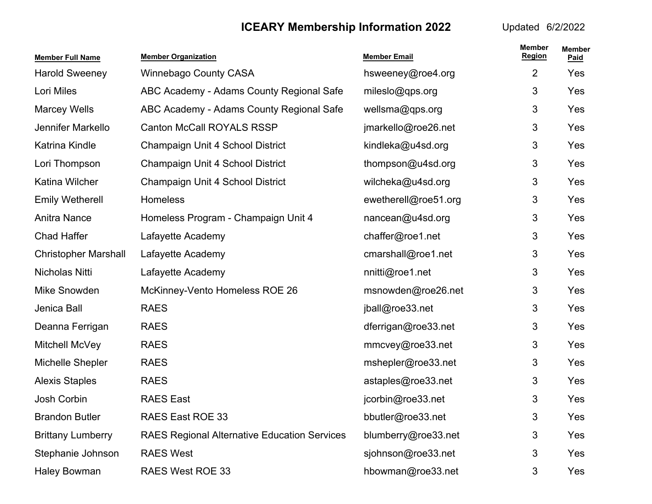| <b>Member Full Name</b>     | <b>Member Organization</b>                          | <b>Member Email</b>  | <b>Member</b><br><b>Region</b> | <b>Member</b><br>Paid |
|-----------------------------|-----------------------------------------------------|----------------------|--------------------------------|-----------------------|
| <b>Harold Sweeney</b>       | <b>Winnebago County CASA</b>                        | hsweeney@roe4.org    | $\overline{2}$                 | Yes                   |
| Lori Miles                  | ABC Academy - Adams County Regional Safe            | mileslo@qps.org      | 3                              | Yes                   |
| <b>Marcey Wells</b>         | ABC Academy - Adams County Regional Safe            | wellsma@qps.org      | 3                              | Yes                   |
| Jennifer Markello           | <b>Canton McCall ROYALS RSSP</b>                    | jmarkello@roe26.net  | 3                              | Yes                   |
| Katrina Kindle              | Champaign Unit 4 School District                    | kindleka@u4sd.org    | $\mathfrak{S}$                 | Yes                   |
| Lori Thompson               | Champaign Unit 4 School District                    | thompson@u4sd.org    | 3                              | Yes                   |
| Katina Wilcher              | Champaign Unit 4 School District                    | wilcheka@u4sd.org    | 3                              | Yes                   |
| <b>Emily Wetherell</b>      | <b>Homeless</b>                                     | ewetherell@roe51.org | 3                              | Yes                   |
| <b>Anitra Nance</b>         | Homeless Program - Champaign Unit 4                 | nancean@u4sd.org     | 3                              | Yes                   |
| <b>Chad Haffer</b>          | Lafayette Academy                                   | chaffer@roe1.net     | 3                              | Yes                   |
| <b>Christopher Marshall</b> | Lafayette Academy                                   | cmarshall@roe1.net   | 3                              | Yes                   |
| Nicholas Nitti              | Lafayette Academy                                   | nnitti@roe1.net      | 3                              | Yes                   |
| Mike Snowden                | McKinney-Vento Homeless ROE 26                      | msnowden@roe26.net   | 3                              | Yes                   |
| Jenica Ball                 | <b>RAES</b>                                         | jball@roe33.net      | 3                              | Yes                   |
| Deanna Ferrigan             | <b>RAES</b>                                         | dferrigan@roe33.net  | 3                              | Yes                   |
| Mitchell McVey              | <b>RAES</b>                                         | mmcvey@roe33.net     | 3                              | Yes                   |
| Michelle Shepler            | <b>RAES</b>                                         | mshepler@roe33.net   | 3                              | Yes                   |
| <b>Alexis Staples</b>       | <b>RAES</b>                                         | astaples@roe33.net   | 3                              | Yes                   |
| <b>Josh Corbin</b>          | <b>RAES East</b>                                    | jcorbin@roe33.net    | 3                              | Yes                   |
| <b>Brandon Butler</b>       | RAES East ROE 33                                    | bbutler@roe33.net    | 3                              | Yes                   |
| <b>Brittany Lumberry</b>    | <b>RAES Regional Alternative Education Services</b> | blumberry@roe33.net  | 3                              | Yes                   |
| Stephanie Johnson           | <b>RAES West</b>                                    | sjohnson@roe33.net   | 3                              | Yes                   |
| <b>Haley Bowman</b>         | RAES West ROE 33                                    | hbowman@roe33.net    | 3                              | Yes                   |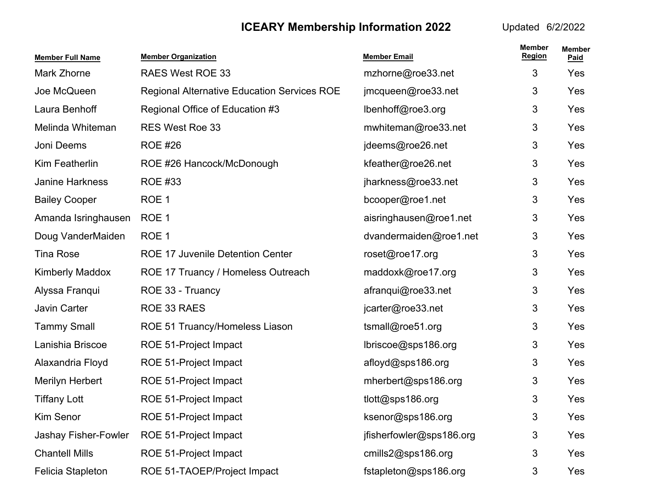| <b>Member Full Name</b> | <b>Member Organization</b>                         | <b>Member Email</b>      | <b>Member</b><br><b>Region</b> | <b>Member</b><br>Paid |
|-------------------------|----------------------------------------------------|--------------------------|--------------------------------|-----------------------|
| Mark Zhorne             | <b>RAES West ROE 33</b>                            | mzhorne@roe33.net        | 3                              | Yes                   |
| Joe McQueen             | <b>Regional Alternative Education Services ROE</b> | jmcqueen@roe33.net       | 3                              | Yes                   |
| Laura Benhoff           | Regional Office of Education #3                    | lbenhoff@roe3.org        | 3                              | Yes                   |
| Melinda Whiteman        | <b>RES West Roe 33</b>                             | mwhiteman@roe33.net      | 3                              | Yes                   |
| Joni Deems              | <b>ROE #26</b>                                     | jdeems@roe26.net         | 3                              | Yes                   |
| Kim Featherlin          | ROE #26 Hancock/McDonough                          | kfeather@roe26.net       | 3                              | Yes                   |
| Janine Harkness         | <b>ROE #33</b>                                     | jharkness@roe33.net      | 3                              | Yes                   |
| <b>Bailey Cooper</b>    | ROE 1                                              | bcooper@roe1.net         | 3                              | Yes                   |
| Amanda Isringhausen     | ROE 1                                              | aisringhausen@roe1.net   | 3                              | Yes                   |
| Doug VanderMaiden       | ROE <sub>1</sub>                                   | dvandermaiden@roe1.net   | 3                              | Yes                   |
| <b>Tina Rose</b>        | <b>ROE 17 Juvenile Detention Center</b>            | roset@roe17.org          | 3                              | Yes                   |
| <b>Kimberly Maddox</b>  | ROE 17 Truancy / Homeless Outreach                 | maddoxk@roe17.org        | 3                              | Yes                   |
| Alyssa Franqui          | ROE 33 - Truancy                                   | afranqui@roe33.net       | 3                              | Yes                   |
| Javin Carter            | ROE 33 RAES                                        | jcarter@roe33.net        | 3                              | Yes                   |
| <b>Tammy Small</b>      | ROE 51 Truancy/Homeless Liason                     | tsmall@roe51.org         | 3                              | Yes                   |
| Lanishia Briscoe        | ROE 51-Project Impact                              | lbriscoe@sps186.org      | 3                              | Yes                   |
| Alaxandria Floyd        | ROE 51-Project Impact                              | afloyd@sps186.org        | 3                              | Yes                   |
| Merilyn Herbert         | ROE 51-Project Impact                              | mherbert@sps186.org      | 3                              | Yes                   |
| <b>Tiffany Lott</b>     | ROE 51-Project Impact                              | tlott@sps186.org         | 3                              | Yes                   |
| <b>Kim Senor</b>        | ROE 51-Project Impact                              | ksenor@sps186.org        | 3                              | Yes                   |
| Jashay Fisher-Fowler    | ROE 51-Project Impact                              | jfisherfowler@sps186.org | 3                              | Yes                   |
| <b>Chantell Mills</b>   | ROE 51-Project Impact                              | cmills2@sps186.org       | 3                              | Yes                   |
| Felicia Stapleton       | ROE 51-TAOEP/Project Impact                        | fstapleton@sps186.org    | 3                              | Yes                   |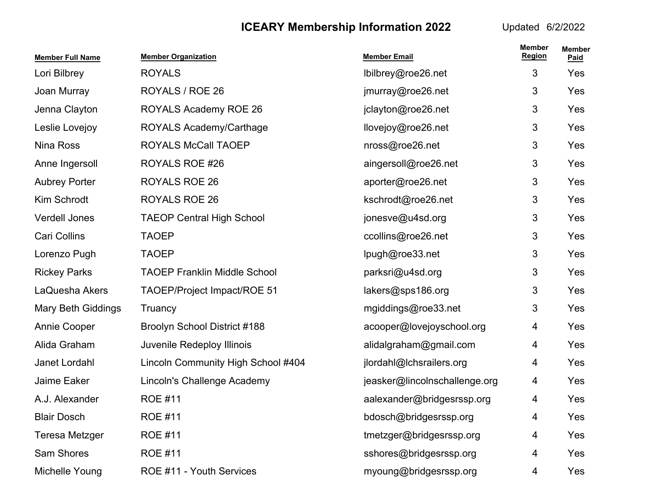| <b>Member Full Name</b>   | <b>Member Organization</b>          | <b>Member Email</b>           | <b>Member</b><br><b>Region</b> | <b>Member</b><br>Paid |
|---------------------------|-------------------------------------|-------------------------------|--------------------------------|-----------------------|
| Lori Bilbrey              | <b>ROYALS</b>                       | lbilbrey@roe26.net            | 3                              | Yes                   |
| Joan Murray               | ROYALS / ROE 26                     | jmurray@roe26.net             | 3                              | Yes                   |
| Jenna Clayton             | <b>ROYALS Academy ROE 26</b>        | jclayton@roe26.net            | 3                              | Yes                   |
| Leslie Lovejoy            | ROYALS Academy/Carthage             | llovejoy@roe26.net            | 3                              | Yes                   |
| Nina Ross                 | <b>ROYALS McCall TAOEP</b>          | nross@roe26.net               | 3                              | Yes                   |
| Anne Ingersoll            | ROYALS ROE #26                      | aingersoll@roe26.net          | 3                              | Yes                   |
| <b>Aubrey Porter</b>      | <b>ROYALS ROE 26</b>                | aporter@roe26.net             | 3                              | Yes                   |
| Kim Schrodt               | <b>ROYALS ROE 26</b>                | kschrodt@roe26.net            | 3                              | Yes                   |
| Verdell Jones             | <b>TAEOP Central High School</b>    | jonesve@u4sd.org              | 3                              | Yes                   |
| Cari Collins              | <b>TAOEP</b>                        | ccollins@roe26.net            | 3                              | Yes                   |
| Lorenzo Pugh              | <b>TAOEP</b>                        | lpugh@roe33.net               | 3                              | Yes                   |
| <b>Rickey Parks</b>       | <b>TAOEP Franklin Middle School</b> | parksri@u4sd.org              | 3                              | Yes                   |
| LaQuesha Akers            | TAOEP/Project Impact/ROE 51         | lakers@sps186.org             | 3                              | Yes                   |
| <b>Mary Beth Giddings</b> | Truancy                             | mgiddings@roe33.net           | 3                              | Yes                   |
| <b>Annie Cooper</b>       | Broolyn School District #188        | acooper@lovejoyschool.org     | 4                              | Yes                   |
| Alida Graham              | Juvenile Redeploy Illinois          | alidalgraham@gmail.com        | 4                              | Yes                   |
| Janet Lordahl             | Lincoln Community High School #404  | jlordahl@lchsrailers.org      | 4                              | Yes                   |
| Jaime Eaker               | Lincoln's Challenge Academy         | jeasker@lincolnschallenge.org | 4                              | Yes                   |
| A.J. Alexander            | <b>ROE #11</b>                      | aalexander@bridgesrssp.org    | 4                              | Yes                   |
| <b>Blair Dosch</b>        | <b>ROE #11</b>                      | bdosch@bridgesrssp.org        | 4                              | Yes                   |
| Teresa Metzger            | <b>ROE #11</b>                      | tmetzger@bridgesrssp.org      | 4                              | Yes                   |
| Sam Shores                | <b>ROE #11</b>                      | sshores@bridgesrssp.org       | 4                              | Yes                   |
| Michelle Young            | ROE #11 - Youth Services            | myoung@bridgesrssp.org        | 4                              | Yes                   |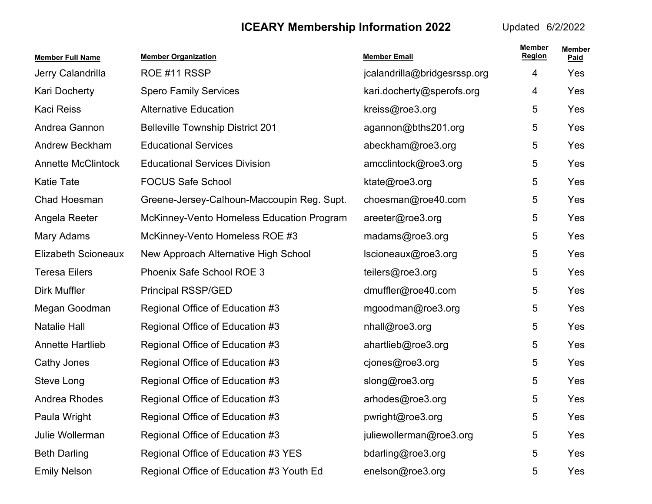| <b>Member Full Name</b>   | <b>Member Organization</b>                 | <b>Member Email</b>          | <b>Member</b><br><b>Region</b> | <b>Member</b><br>Paid |
|---------------------------|--------------------------------------------|------------------------------|--------------------------------|-----------------------|
| Jerry Calandrilla         | ROE #11 RSSP                               | jcalandrilla@bridgesrssp.org | 4                              | Yes                   |
| Kari Docherty             | <b>Spero Family Services</b>               | kari.docherty@sperofs.org    | 4                              | Yes                   |
| <b>Kaci Reiss</b>         | <b>Alternative Education</b>               | kreiss@roe3.org              | 5                              | Yes                   |
| Andrea Gannon             | <b>Belleville Township District 201</b>    | agannon@bths201.org          | 5                              | Yes                   |
| Andrew Beckham            | <b>Educational Services</b>                | abeckham@roe3.org            | 5                              | Yes                   |
| <b>Annette McClintock</b> | <b>Educational Services Division</b>       | amcclintock@roe3.org         | 5                              | Yes                   |
| <b>Katie Tate</b>         | <b>FOCUS Safe School</b>                   | ktate@roe3.org               | 5                              | Yes                   |
| Chad Hoesman              | Greene-Jersey-Calhoun-Maccoupin Reg. Supt. | choesman@roe40.com           | 5                              | Yes                   |
| Angela Reeter             | McKinney-Vento Homeless Education Program  | areeter@roe3.org             | 5                              | Yes                   |
| Mary Adams                | McKinney-Vento Homeless ROE #3             | madams@roe3.org              | 5                              | Yes                   |
| Elizabeth Scioneaux       | New Approach Alternative High School       | Iscioneaux@roe3.org          | 5                              | Yes                   |
| <b>Teresa Eilers</b>      | Phoenix Safe School ROE 3                  | teilers@roe3.org             | 5                              | Yes                   |
| <b>Dirk Muffler</b>       | <b>Principal RSSP/GED</b>                  | dmuffler@roe40.com           | 5                              | Yes                   |
| Megan Goodman             | Regional Office of Education #3            | mgoodman@roe3.org            | 5                              | Yes                   |
| <b>Natalie Hall</b>       | Regional Office of Education #3            | nhall@roe3.org               | 5                              | Yes                   |
| <b>Annette Hartlieb</b>   | Regional Office of Education #3            | ahartlieb@roe3.org           | 5                              | Yes                   |
| Cathy Jones               | Regional Office of Education #3            | cjones@roe3.org              | 5                              | Yes                   |
| Steve Long                | Regional Office of Education #3            | slong@roe3.org               | 5                              | Yes                   |
| Andrea Rhodes             | Regional Office of Education #3            | arhodes@roe3.org             | 5                              | Yes                   |
| Paula Wright              | Regional Office of Education #3            | pwright@roe3.org             | 5                              | Yes                   |
| Julie Wollerman           | Regional Office of Education #3            | juliewollerman@roe3.org      | 5                              | Yes                   |
| <b>Beth Darling</b>       | Regional Office of Education #3 YES        | bdarling@roe3.org            | 5                              | Yes                   |
| <b>Emily Nelson</b>       | Regional Office of Education #3 Youth Ed   | enelson@roe3.org             | 5                              | Yes                   |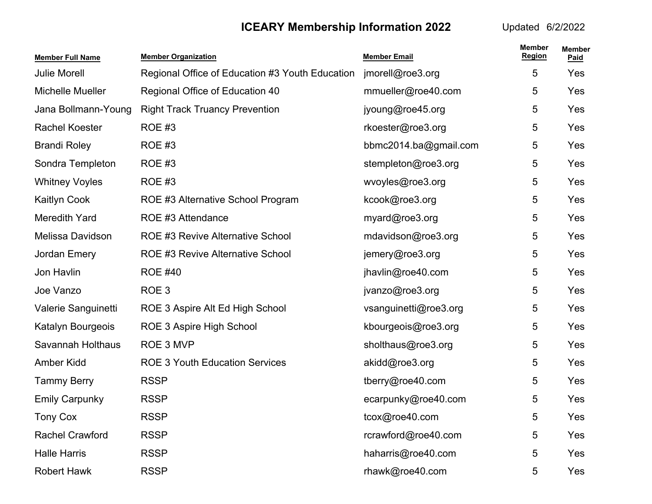| <b>Member Full Name</b> | <b>Member Organization</b>                      | <b>Member Email</b>   | <b>Member</b><br><b>Region</b> | <b>Member</b><br>Paid |
|-------------------------|-------------------------------------------------|-----------------------|--------------------------------|-----------------------|
| <b>Julie Morell</b>     | Regional Office of Education #3 Youth Education | jmorell@roe3.org      | 5                              | Yes                   |
| Michelle Mueller        | Regional Office of Education 40                 | mmueller@roe40.com    | 5                              | Yes                   |
| Jana Bollmann-Young     | <b>Right Track Truancy Prevention</b>           | jyoung@roe45.org      | 5                              | Yes                   |
| <b>Rachel Koester</b>   | <b>ROE #3</b>                                   | rkoester@roe3.org     | 5                              | Yes                   |
| <b>Brandi Roley</b>     | <b>ROE #3</b>                                   | bbmc2014.ba@gmail.com | 5                              | Yes                   |
| Sondra Templeton        | <b>ROE #3</b>                                   | stempleton@roe3.org   | 5                              | Yes                   |
| <b>Whitney Voyles</b>   | <b>ROE #3</b>                                   | wvoyles@roe3.org      | 5                              | Yes                   |
| <b>Kaitlyn Cook</b>     | ROE #3 Alternative School Program               | kcook@roe3.org        | 5                              | <b>Yes</b>            |
| Meredith Yard           | ROE #3 Attendance                               | myard@roe3.org        | 5                              | Yes                   |
| Melissa Davidson        | <b>ROE #3 Revive Alternative School</b>         | mdavidson@roe3.org    | 5                              | Yes                   |
| Jordan Emery            | <b>ROE #3 Revive Alternative School</b>         | jemery@roe3.org       | 5                              | Yes                   |
| Jon Havlin              | <b>ROE #40</b>                                  | jhavlin@roe40.com     | 5                              | Yes                   |
| Joe Vanzo               | ROE <sub>3</sub>                                | jvanzo@roe3.org       | 5                              | Yes                   |
| Valerie Sanguinetti     | ROE 3 Aspire Alt Ed High School                 | vsanguinetti@roe3.org | 5                              | <b>Yes</b>            |
| Katalyn Bourgeois       | ROE 3 Aspire High School                        | kbourgeois@roe3.org   | 5                              | Yes                   |
| Savannah Holthaus       | ROE 3 MVP                                       | sholthaus@roe3.org    | 5                              | Yes                   |
| <b>Amber Kidd</b>       | <b>ROE 3 Youth Education Services</b>           | akidd@roe3.org        | 5                              | Yes                   |
| <b>Tammy Berry</b>      | <b>RSSP</b>                                     | tberry@roe40.com      | 5                              | Yes                   |
| <b>Emily Carpunky</b>   | <b>RSSP</b>                                     | ecarpunky@roe40.com   | 5                              | Yes                   |
| <b>Tony Cox</b>         | <b>RSSP</b>                                     | tcox@roe40.com        | 5                              | Yes                   |
| <b>Rachel Crawford</b>  | <b>RSSP</b>                                     | rcrawford@roe40.com   | 5                              | Yes                   |
| <b>Halle Harris</b>     | <b>RSSP</b>                                     | haharris@roe40.com    | 5                              | Yes                   |
| <b>Robert Hawk</b>      | <b>RSSP</b>                                     | rhawk@roe40.com       | 5                              | Yes                   |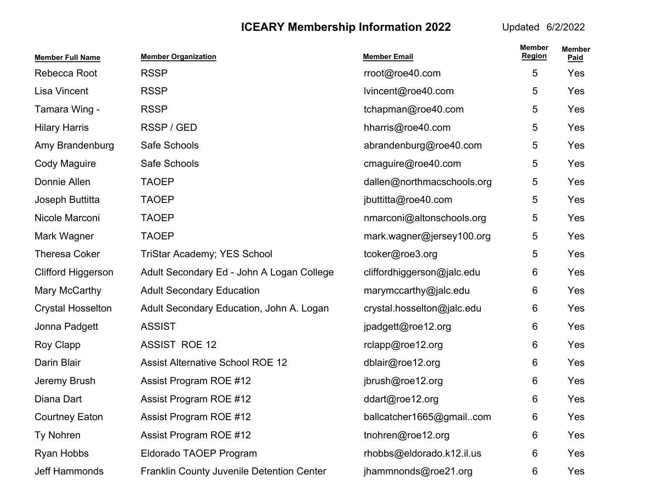| <b>Member Full Name</b>   | <b>Member Organization</b>                | <b>Member Email</b>        | <b>Member</b><br><b>Region</b> | <b>Member</b><br>Paid |
|---------------------------|-------------------------------------------|----------------------------|--------------------------------|-----------------------|
| Rebecca Root              | <b>RSSP</b>                               | rroot@roe40.com            | 5                              | Yes                   |
| Lisa Vincent              | <b>RSSP</b>                               | lvincent@roe40.com         | 5                              | Yes                   |
| Tamara Wing -             | <b>RSSP</b>                               | tchapman@roe40.com         | 5                              | Yes                   |
| <b>Hilary Harris</b>      | RSSP / GED                                | hharris@roe40.com          | 5                              | Yes                   |
| Amy Brandenburg           | Safe Schools                              | abrandenburg@roe40.com     | 5                              | Yes                   |
| Cody Maguire              | Safe Schools                              | cmaguire@roe40.com         | 5                              | Yes                   |
| Donnie Allen              | <b>TAOEP</b>                              | dallen@northmacschools.org | 5                              | Yes                   |
| Joseph Buttitta           | <b>TAOEP</b>                              | jbuttitta@roe40.com        | 5                              | Yes                   |
| Nicole Marconi            | <b>TAOEP</b>                              | nmarconi@altonschools.org  | 5                              | Yes                   |
| Mark Wagner               | <b>TAOEP</b>                              | mark.wagner@jersey100.org  | 5                              | Yes                   |
| <b>Theresa Coker</b>      | <b>TriStar Academy; YES School</b>        | tcoker@roe3.org            | 5                              | Yes                   |
| <b>Clifford Higgerson</b> | Adult Secondary Ed - John A Logan College | cliffordhiggerson@jalc.edu | 6                              | Yes                   |
| Mary McCarthy             | <b>Adult Secondary Education</b>          | marymccarthy@jalc.edu      | 6                              | Yes                   |
| <b>Crystal Hosselton</b>  | Adult Secondary Education, John A. Logan  | crystal.hosselton@jalc.edu | 6                              | Yes                   |
| Jonna Padgett             | <b>ASSIST</b>                             | jpadgett@roe12.org         | 6                              | Yes                   |
| Roy Clapp                 | <b>ASSIST ROE 12</b>                      | rclapp@roe12.org           | 6                              | Yes                   |
| Darin Blair               | <b>Assist Alternative School ROE 12</b>   | dblair@roe12.org           | 6                              | Yes                   |
| Jeremy Brush              | Assist Program ROE #12                    | jbrush@roe12.org           | 6                              | Yes                   |
| Diana Dart                | Assist Program ROE #12                    | ddart@roe12.org            | 6                              | Yes                   |
| <b>Courtney Eaton</b>     | Assist Program ROE #12                    | ballcatcher1665@gmailcom   | 6                              | Yes                   |
| Ty Nohren                 | Assist Program ROE #12                    | tnohren@roe12.org          | 6                              | Yes                   |
| Ryan Hobbs                | Eldorado TAOEP Program                    | rhobbs@eldorado.k12.il.us  | 6                              | Yes                   |
| Jeff Hammonds             | Franklin County Juvenile Detention Center | jhammnonds@roe21.org       | 6                              | Yes                   |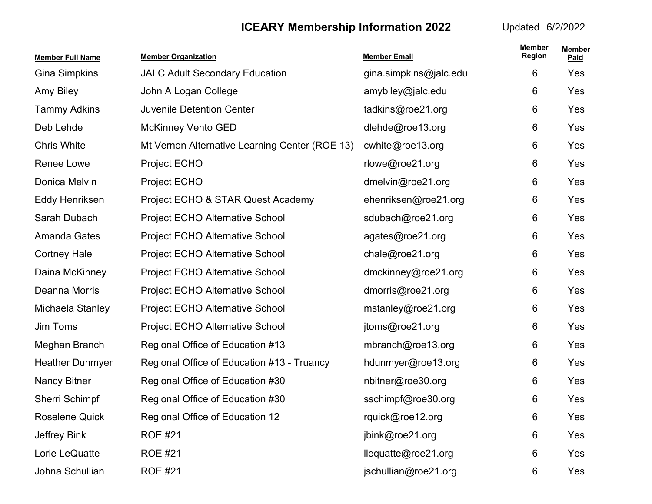| <b>Member Full Name</b> | <b>Member Organization</b>                     | <b>Member Email</b>    | <b>Member</b><br><b>Region</b> | <b>Member</b><br>Paid |
|-------------------------|------------------------------------------------|------------------------|--------------------------------|-----------------------|
| <b>Gina Simpkins</b>    | <b>JALC Adult Secondary Education</b>          | gina.simpkins@jalc.edu | 6                              | Yes                   |
| Amy Biley               | John A Logan College                           | amybiley@jalc.edu      | 6                              | Yes                   |
| <b>Tammy Adkins</b>     | <b>Juvenile Detention Center</b>               | tadkins@roe21.org      | 6                              | Yes                   |
| Deb Lehde               | <b>McKinney Vento GED</b>                      | dlehde@roe13.org       | 6                              | Yes                   |
| <b>Chris White</b>      | Mt Vernon Alternative Learning Center (ROE 13) | cwhite@roe13.org       | 6                              | Yes                   |
| Renee Lowe              | <b>Project ECHO</b>                            | rlowe@roe21.org        | 6                              | Yes                   |
| Donica Melvin           | <b>Project ECHO</b>                            | dmelvin@roe21.org      | 6                              | Yes                   |
| Eddy Henriksen          | Project ECHO & STAR Quest Academy              | ehenriksen@roe21.org   | 6                              | Yes                   |
| Sarah Dubach            | Project ECHO Alternative School                | sdubach@roe21.org      | 6                              | Yes                   |
| <b>Amanda Gates</b>     | <b>Project ECHO Alternative School</b>         | agates@roe21.org       | 6                              | Yes                   |
| <b>Cortney Hale</b>     | <b>Project ECHO Alternative School</b>         | chale@roe21.org        | 6                              | Yes                   |
| Daina McKinney          | Project ECHO Alternative School                | dmckinney@roe21.org    | 6                              | Yes                   |
| Deanna Morris           | <b>Project ECHO Alternative School</b>         | dmorris@roe21.org      | 6                              | Yes                   |
| Michaela Stanley        | Project ECHO Alternative School                | mstanley@roe21.org     | 6                              | <b>Yes</b>            |
| Jim Toms                | Project ECHO Alternative School                | jtoms@roe21.org        | 6                              | Yes                   |
| Meghan Branch           | Regional Office of Education #13               | mbranch@roe13.org      | 6                              | Yes                   |
| <b>Heather Dunmyer</b>  | Regional Office of Education #13 - Truancy     | hdunmyer@roe13.org     | 6                              | Yes                   |
| <b>Nancy Bitner</b>     | Regional Office of Education #30               | nbitner@roe30.org      | 6                              | Yes                   |
| Sherri Schimpf          | Regional Office of Education #30               | sschimpf@roe30.org     | 6                              | Yes                   |
| <b>Roselene Quick</b>   | Regional Office of Education 12                | rquick@roe12.org       | 6                              | Yes                   |
| Jeffrey Bink            | <b>ROE #21</b>                                 | jbink@roe21.org        | 6                              | Yes                   |
| Lorie LeQuatte          | <b>ROE #21</b>                                 | llequatte@roe21.org    | 6                              | Yes                   |
| Johna Schullian         | <b>ROE #21</b>                                 | jschullian@roe21.org   | 6                              | Yes                   |